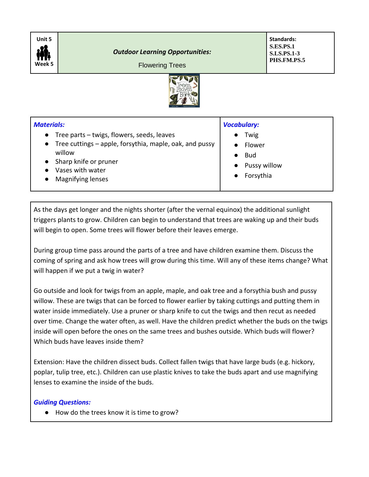

## Flowering Trees

**Standards: S.ES.PS.1 S.LS.PS.1-3 PHS.FM.PS.5**



## *Materials:* ● Tree parts – twigs, flowers, seeds, leaves ● Tree cuttings – apple, forsythia, maple, oak, and pussy willow ● Sharp knife or pruner ● Vases with water ● Magnifying lenses *Vocabulary:* ● Twig ● Flower ● Bud ● Pussy willow **Forsythia**

As the days get longer and the nights shorter (after the vernal equinox) the additional sunlight triggers plants to grow. Children can begin to understand that trees are waking up and their buds will begin to open. Some trees will flower before their leaves emerge.

During group time pass around the parts of a tree and have children examine them. Discuss the coming of spring and ask how trees will grow during this time. Will any of these items change? What will happen if we put a twig in water?

Go outside and look for twigs from an apple, maple, and oak tree and a forsythia bush and pussy willow. These are twigs that can be forced to flower earlier by taking cuttings and putting them in water inside immediately. Use a pruner or sharp knife to cut the twigs and then recut as needed over time. Change the water often, as well. Have the children predict whether the buds on the twigs inside will open before the ones on the same trees and bushes outside. Which buds will flower? Which buds have leaves inside them?

Extension: Have the children dissect buds. Collect fallen twigs that have large buds (e.g. hickory, poplar, tulip tree, etc.). Children can use plastic knives to take the buds apart and use magnifying lenses to examine the inside of the buds.

## *Guiding Questions:*

● How do the trees know it is time to grow?